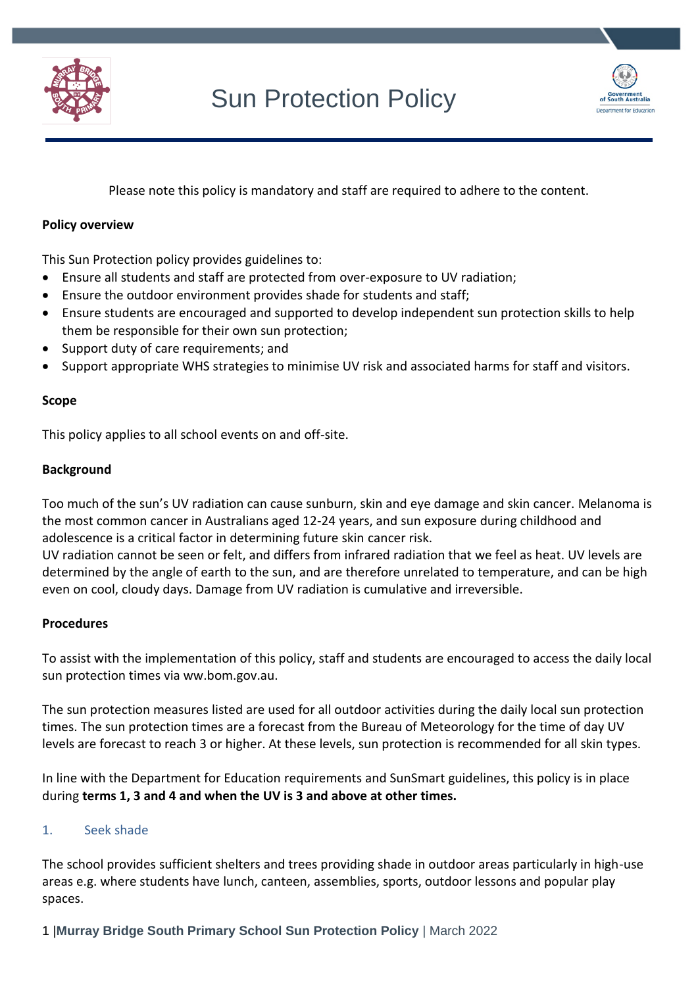



Please note this policy is mandatory and staff are required to adhere to the content.

# **Policy overview**

This Sun Protection policy provides guidelines to:

- Ensure all students and staff are protected from over-exposure to UV radiation;
- Ensure the outdoor environment provides shade for students and staff;
- Ensure students are encouraged and supported to develop independent sun protection skills to help them be responsible for their own sun protection;
- Support duty of care requirements; and
- Support appropriate WHS strategies to minimise UV risk and associated harms for staff and visitors.

# **Scope**

This policy applies to all school events on and off-site.

#### **Background**

Too much of the sun's UV radiation can cause sunburn, skin and eye damage and skin cancer. Melanoma is the most common cancer in Australians aged 12-24 years, and sun exposure during childhood and adolescence is a critical factor in determining future skin cancer risk.

UV radiation cannot be seen or felt, and differs from infrared radiation that we feel as heat. UV levels are determined by the angle of earth to the sun, and are therefore unrelated to temperature, and can be high even on cool, cloudy days. Damage from UV radiation is cumulative and irreversible.

#### **Procedures**

To assist with the implementation of this policy, staff and students are encouraged to access the daily local sun protection times via ww.bom.gov.au.

The sun protection measures listed are used for all outdoor activities during the daily local sun protection times. The sun protection times are a forecast from the Bureau of Meteorology for the time of day UV levels are forecast to reach 3 or higher. At these levels, sun protection is recommended for all skin types.

In line with the Department for Education requirements and SunSmart guidelines, this policy is in place during **terms 1, 3 and 4 and when the UV is 3 and above at other times.**

# 1. Seek shade

The school provides sufficient shelters and trees providing shade in outdoor areas particularly in high-use areas e.g. where students have lunch, canteen, assemblies, sports, outdoor lessons and popular play spaces.

1 |**Murray Bridge South Primary School Sun Protection Policy** | March 2022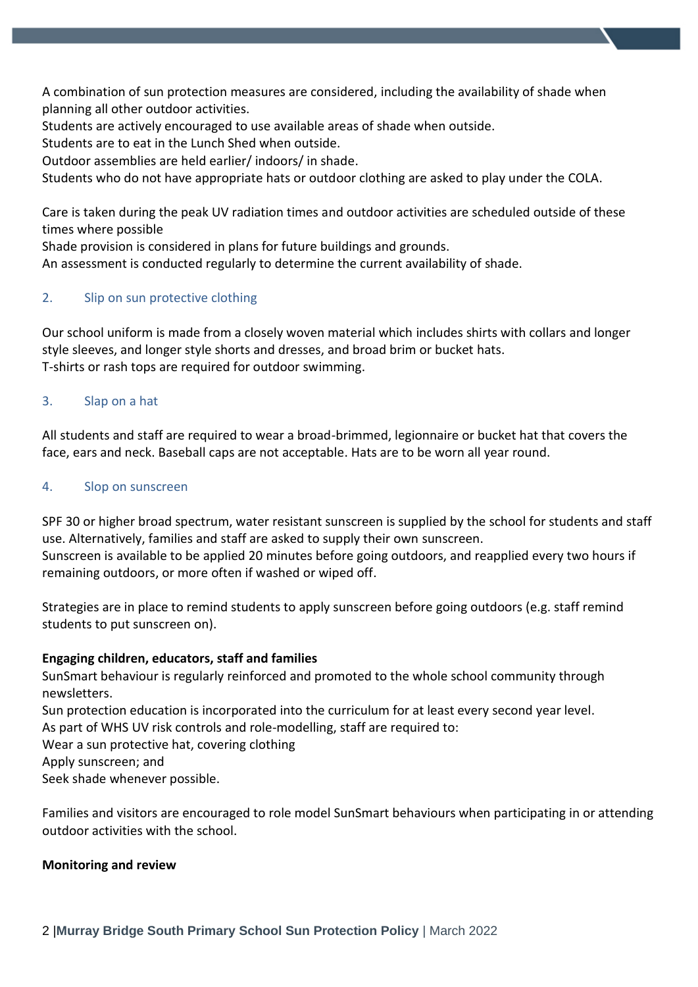A combination of sun protection measures are considered, including the availability of shade when planning all other outdoor activities.

Students are actively encouraged to use available areas of shade when outside.

Students are to eat in the Lunch Shed when outside.

Outdoor assemblies are held earlier/ indoors/ in shade.

Students who do not have appropriate hats or outdoor clothing are asked to play under the COLA.

Care is taken during the peak UV radiation times and outdoor activities are scheduled outside of these times where possible

Shade provision is considered in plans for future buildings and grounds.

An assessment is conducted regularly to determine the current availability of shade.

# 2. Slip on sun protective clothing

Our school uniform is made from a closely woven material which includes shirts with collars and longer style sleeves, and longer style shorts and dresses, and broad brim or bucket hats. T-shirts or rash tops are required for outdoor swimming.

# 3. Slap on a hat

All students and staff are required to wear a broad-brimmed, legionnaire or bucket hat that covers the face, ears and neck. Baseball caps are not acceptable. Hats are to be worn all year round.

# 4. Slop on sunscreen

SPF 30 or higher broad spectrum, water resistant sunscreen is supplied by the school for students and staff use. Alternatively, families and staff are asked to supply their own sunscreen. Sunscreen is available to be applied 20 minutes before going outdoors, and reapplied every two hours if remaining outdoors, or more often if washed or wiped off.

Strategies are in place to remind students to apply sunscreen before going outdoors (e.g. staff remind students to put sunscreen on).

# **Engaging children, educators, staff and families**

SunSmart behaviour is regularly reinforced and promoted to the whole school community through newsletters.

Sun protection education is incorporated into the curriculum for at least every second year level.

As part of WHS UV risk controls and role-modelling, staff are required to:

Wear a sun protective hat, covering clothing

Apply sunscreen; and

Seek shade whenever possible.

Families and visitors are encouraged to role model SunSmart behaviours when participating in or attending outdoor activities with the school.

# **Monitoring and review**